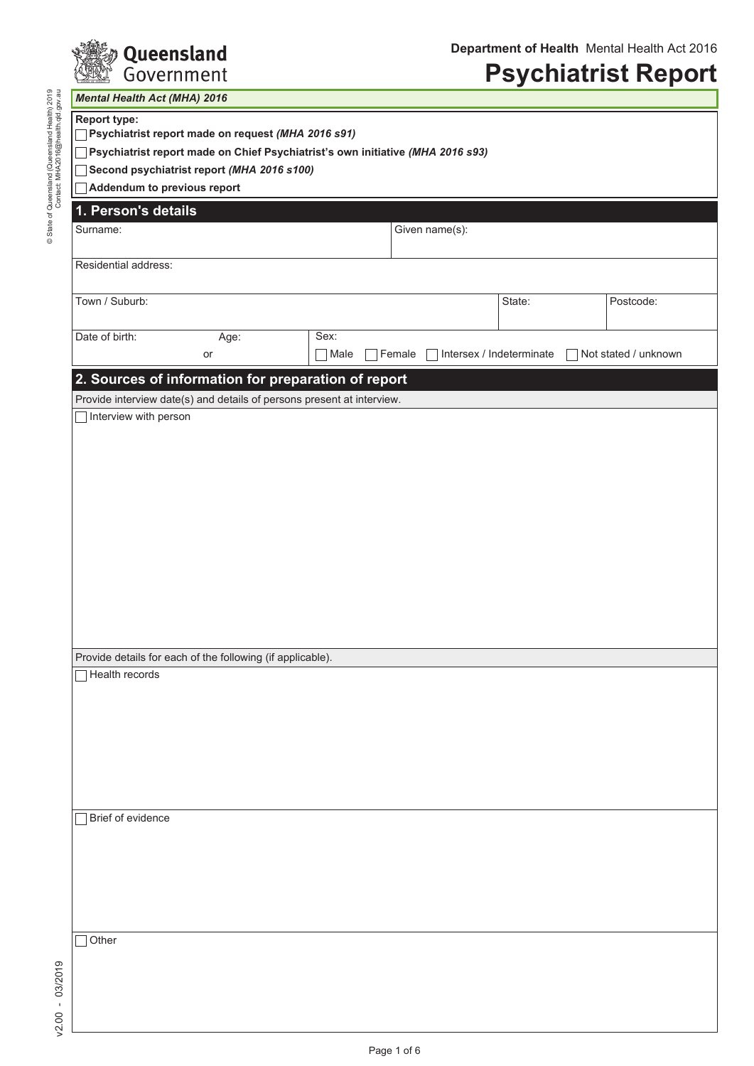

# **Psychiatrist Report**

| <b>Mental Health Act (MHA) 2016</b>                                            |                                                                        |                |                 |                            |                      |  |  |  |
|--------------------------------------------------------------------------------|------------------------------------------------------------------------|----------------|-----------------|----------------------------|----------------------|--|--|--|
| <b>Report type:</b>                                                            | Psychiatrist report made on request (MHA 2016 s91)                     |                |                 |                            |                      |  |  |  |
| Psychiatrist report made on Chief Psychiatrist's own initiative (MHA 2016 s93) |                                                                        |                |                 |                            |                      |  |  |  |
| Second psychiatrist report (MHA 2016 s100)                                     |                                                                        |                |                 |                            |                      |  |  |  |
| Addendum to previous report                                                    |                                                                        |                |                 |                            |                      |  |  |  |
| 1. Person's details                                                            |                                                                        |                |                 |                            |                      |  |  |  |
| Surname:                                                                       |                                                                        |                | Given name(s):  |                            |                      |  |  |  |
|                                                                                |                                                                        |                |                 |                            |                      |  |  |  |
| Residential address:                                                           |                                                                        |                |                 |                            |                      |  |  |  |
| Town / Suburb:                                                                 |                                                                        |                |                 | State:                     | Postcode:            |  |  |  |
| Date of birth:                                                                 | Age:                                                                   | Sex:           |                 |                            |                      |  |  |  |
|                                                                                | or                                                                     | $\exists$ Male | $\sqcap$ Female | □ Intersex / Indeterminate | Not stated / unknown |  |  |  |
|                                                                                | 2. Sources of information for preparation of report                    |                |                 |                            |                      |  |  |  |
|                                                                                | Provide interview date(s) and details of persons present at interview. |                |                 |                            |                      |  |  |  |
| Interview with person                                                          |                                                                        |                |                 |                            |                      |  |  |  |
|                                                                                |                                                                        |                |                 |                            |                      |  |  |  |
|                                                                                |                                                                        |                |                 |                            |                      |  |  |  |
|                                                                                |                                                                        |                |                 |                            |                      |  |  |  |
|                                                                                |                                                                        |                |                 |                            |                      |  |  |  |
|                                                                                |                                                                        |                |                 |                            |                      |  |  |  |
|                                                                                |                                                                        |                |                 |                            |                      |  |  |  |
|                                                                                |                                                                        |                |                 |                            |                      |  |  |  |
|                                                                                |                                                                        |                |                 |                            |                      |  |  |  |
|                                                                                |                                                                        |                |                 |                            |                      |  |  |  |
|                                                                                |                                                                        |                |                 |                            |                      |  |  |  |
|                                                                                |                                                                        |                |                 |                            |                      |  |  |  |
|                                                                                |                                                                        |                |                 |                            |                      |  |  |  |
|                                                                                |                                                                        |                |                 |                            |                      |  |  |  |
|                                                                                | Provide details for each of the following (if applicable).             |                |                 |                            |                      |  |  |  |
| Health records                                                                 |                                                                        |                |                 |                            |                      |  |  |  |
|                                                                                |                                                                        |                |                 |                            |                      |  |  |  |
|                                                                                |                                                                        |                |                 |                            |                      |  |  |  |
|                                                                                |                                                                        |                |                 |                            |                      |  |  |  |
|                                                                                |                                                                        |                |                 |                            |                      |  |  |  |
|                                                                                |                                                                        |                |                 |                            |                      |  |  |  |
|                                                                                |                                                                        |                |                 |                            |                      |  |  |  |
|                                                                                |                                                                        |                |                 |                            |                      |  |  |  |
| Brief of evidence                                                              |                                                                        |                |                 |                            |                      |  |  |  |
|                                                                                |                                                                        |                |                 |                            |                      |  |  |  |
|                                                                                |                                                                        |                |                 |                            |                      |  |  |  |
|                                                                                |                                                                        |                |                 |                            |                      |  |  |  |
|                                                                                |                                                                        |                |                 |                            |                      |  |  |  |
|                                                                                |                                                                        |                |                 |                            |                      |  |  |  |
| Other                                                                          |                                                                        |                |                 |                            |                      |  |  |  |
|                                                                                |                                                                        |                |                 |                            |                      |  |  |  |
|                                                                                |                                                                        |                |                 |                            |                      |  |  |  |
|                                                                                |                                                                        |                |                 |                            |                      |  |  |  |
|                                                                                |                                                                        |                |                 |                            |                      |  |  |  |
|                                                                                |                                                                        |                |                 |                            |                      |  |  |  |

v2.00 - 03/2019

 $v2.00 - 03/2019$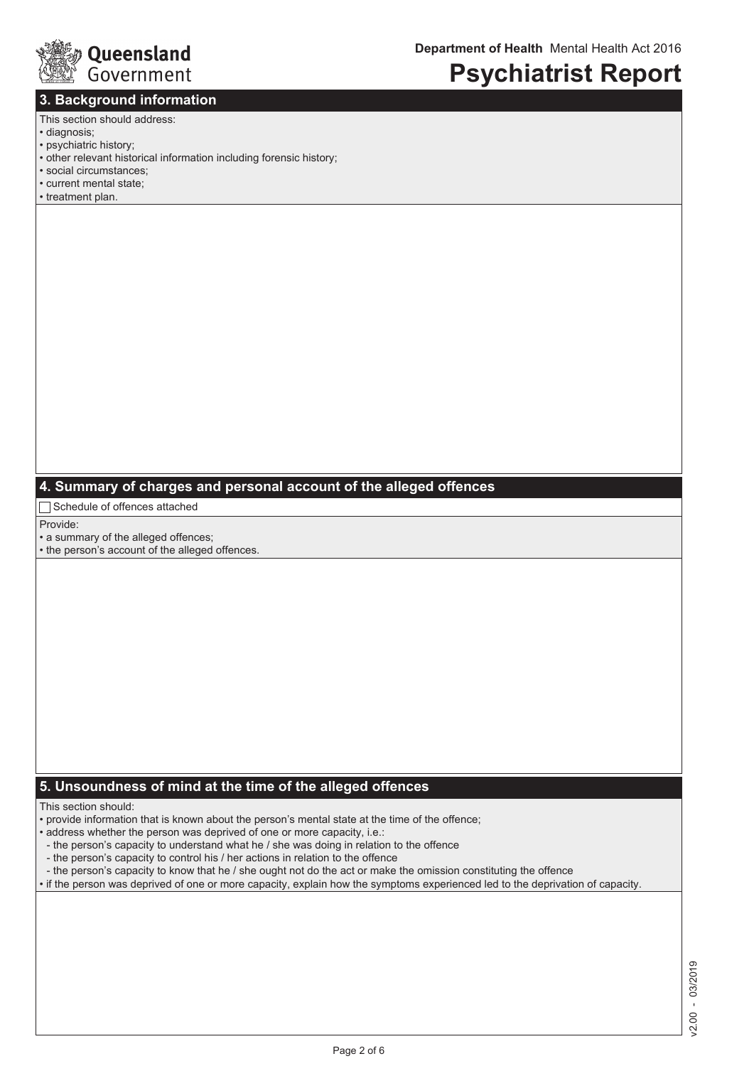

### **3. Background information**

### **Psychiatrist Report**

#### This section should address:

- diagnosis;
- psychiatric history;
- other relevant historical information including forensic history;
- social circumstances;
- current mental state;
- treatment plan.

### **4. Summary of charges and personal account of the alleged offences**

□ Schedule of offences attached

Provide:

• a summary of the alleged offences;

• the person's account of the alleged offences.

### **5. Unsoundness of mind at the time of the alleged offences**

This section should:

• provide information that is known about the person's mental state at the time of the offence;

- address whether the person was deprived of one or more capacity, i.e.:
- the person's capacity to understand what he / she was doing in relation to the offence
- the person's capacity to control his / her actions in relation to the offence
- the person's capacity to know that he / she ought not do the act or make the omission constituting the offence
- if the person was deprived of one or more capacity, explain how the symptoms experienced led to the deprivation of capacity.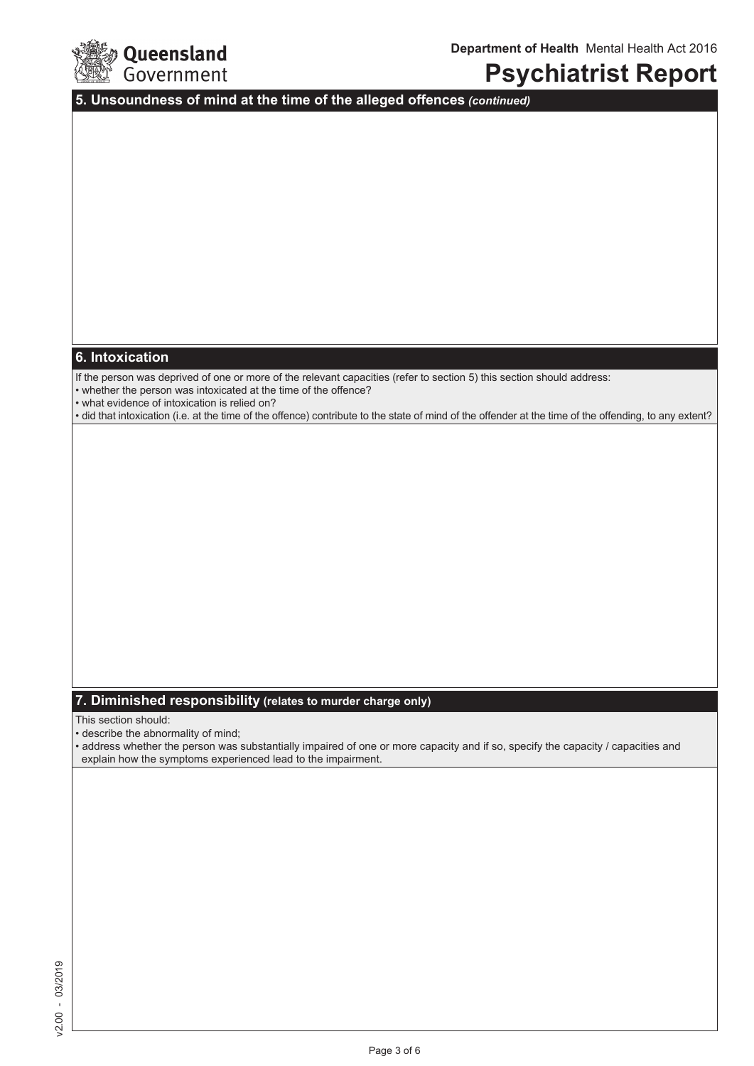

### **Psychiatrist Report**

**5. Unsoundness of mind at the time of the alleged offences** *(continued)*

### **6. Intoxication**

If the person was deprived of one or more of the relevant capacities (refer to section 5) this section should address:

• whether the person was intoxicated at the time of the offence?

• what evidence of intoxication is relied on?

• did that intoxication (i.e. at the time of the offence) contribute to the state of mind of the offender at the time of the offending, to any extent?

### **7. Diminished responsibility (relates to murder charge only)**

This section should:

• describe the abnormality of mind;

• address whether the person was substantially impaired of one or more capacity and if so, specify the capacity / capacities and explain how the symptoms experienced lead to the impairment.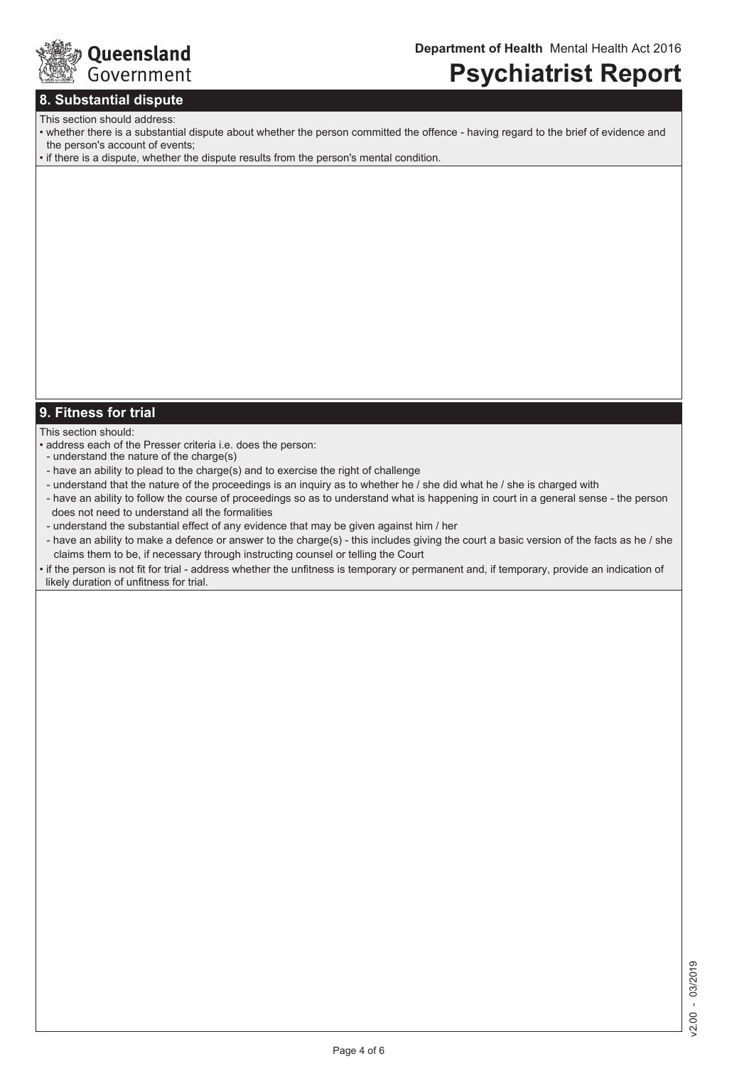

### **Psychiatrist Report**

### **8. Substantial dispute**

### This section should address:

- whether there is a substantial dispute about whether the person committed the offence having regard to the brief of evidence and the person's account of events;
- if there is a dispute, whether the dispute results from the person's mental condition.

### **9. Fitness for trial**

#### This section should:

- address each of the Presser criteria i.e. does the person:
- understand the nature of the charge(s)
- have an ability to plead to the charge(s) and to exercise the right of challenge
- understand that the nature of the proceedings is an inquiry as to whether he / she did what he / she is charged with
- have an ability to follow the course of proceedings so as to understand what is happening in court in a general sense the person does not need to understand all the formalities
- understand the substantial effect of any evidence that may be given against him / her
- have an ability to make a defence or answer to the charge(s) this includes giving the court a basic version of the facts as he / she claims them to be, if necessary through instructing counsel or telling the Court
- if the person is not fit for trial address whether the unfitness is temporary or permanent and, if temporary, provide an indication of likely duration of unfitness for trial.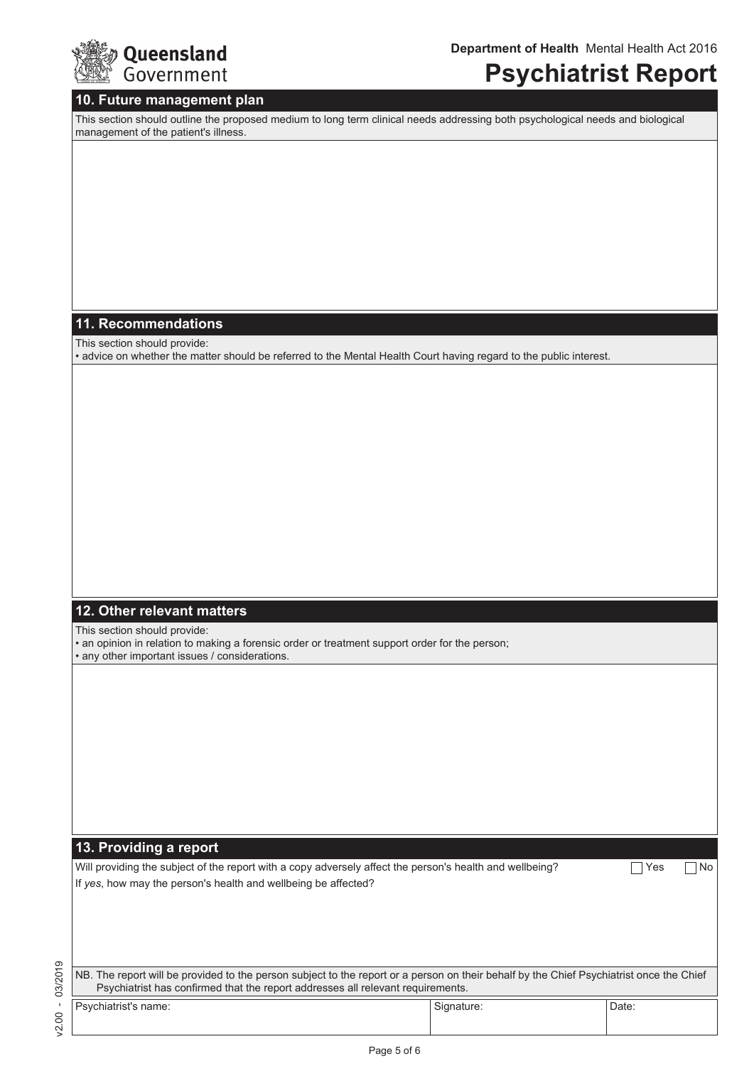

### **Psychiatrist Report**

#### **10. Future management plan**

This section should outline the proposed medium to long term clinical needs addressing both psychological needs and biological management of the patient's illness.

### **11. Recommendations**

This section should provide:

• advice on whether the matter should be referred to the Mental Health Court having regard to the public interest.

### **12. Other relevant matters**

This section should provide:

• an opinion in relation to making a forensic order or treatment support order for the person; • any other important issues / considerations.

**13. Providing a report**

Will providing the subject of the report with a copy adversely affect the person's health and wellbeing?  $\Box$  Yes  $\Box$  No If *yes*, how may the person's health and wellbeing be affected?

 $/2.00 - 03/2019$ v2.00 - 03/2019

| NB. The report will be provided to the person subject to the report or a person on their behalf by the Chief Psychiatrist once the Chief<br>Psychiatrist has confirmed that the report addresses all relevant requirements. |            |       |  |  |  |
|-----------------------------------------------------------------------------------------------------------------------------------------------------------------------------------------------------------------------------|------------|-------|--|--|--|
| Psychiatrist's name:                                                                                                                                                                                                        | Signature: | Date: |  |  |  |